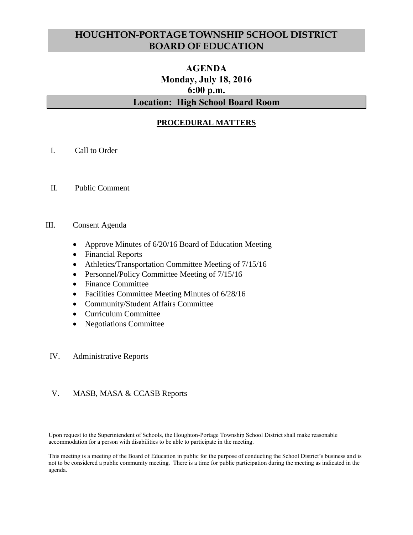# **HOUGHTON-PORTAGE TOWNSHIP SCHOOL DISTRICT BOARD OF EDUCATION**

# **AGENDA Monday, July 18, 2016 6:00 p.m. Location: High School Board Room**

# **PROCEDURAL MATTERS**

- I. Call to Order
- II. Public Comment

#### III. Consent Agenda

- Approve Minutes of 6/20/16 Board of Education Meeting
- Financial Reports
- Athletics/Transportation Committee Meeting of 7/15/16
- Personnel/Policy Committee Meeting of  $7/15/16$
- Finance Committee
- Facilities Committee Meeting Minutes of 6/28/16
- Community/Student Affairs Committee
- Curriculum Committee
- Negotiations Committee

### IV. Administrative Reports

### V. MASB, MASA & CCASB Reports

Upon request to the Superintendent of Schools, the Houghton-Portage Township School District shall make reasonable accommodation for a person with disabilities to be able to participate in the meeting.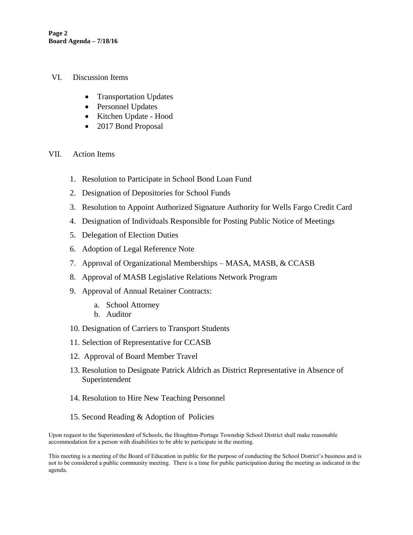- VI. Discussion Items
	- Transportation Updates
	- Personnel Updates
	- Kitchen Update Hood
	- 2017 Bond Proposal
- VII. Action Items
	- 1. Resolution to Participate in School Bond Loan Fund
	- 2. Designation of Depositories for School Funds
	- 3. Resolution to Appoint Authorized Signature Authority for Wells Fargo Credit Card
	- 4. Designation of Individuals Responsible for Posting Public Notice of Meetings
	- 5. Delegation of Election Duties
	- 6. Adoption of Legal Reference Note
	- 7. Approval of Organizational Memberships MASA, MASB, & CCASB
	- 8. Approval of MASB Legislative Relations Network Program
	- 9. Approval of Annual Retainer Contracts:
		- a. School Attorney
		- b. Auditor
	- 10. Designation of Carriers to Transport Students
	- 11. Selection of Representative for CCASB
	- 12. Approval of Board Member Travel
	- 13. Resolution to Designate Patrick Aldrich as District Representative in Absence of Superintendent
	- 14. Resolution to Hire New Teaching Personnel
	- 15. Second Reading & Adoption of Policies

Upon request to the Superintendent of Schools, the Houghton-Portage Township School District shall make reasonable accommodation for a person with disabilities to be able to participate in the meeting.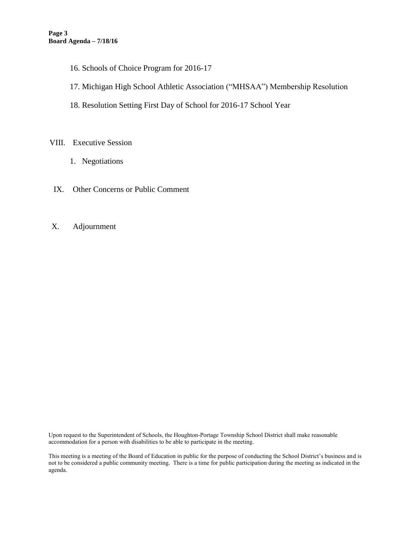- 16. Schools of Choice Program for 2016-17
- 17. Michigan High School Athletic Association ("MHSAA") Membership Resolution
- 18. Resolution Setting First Day of School for 2016-17 School Year

### VIII. Executive Session

- 1. Negotiations
- IX. Other Concerns or Public Comment
- X. Adjournment

Upon request to the Superintendent of Schools, the Houghton-Portage Township School District shall make reasonable accommodation for a person with disabilities to be able to participate in the meeting.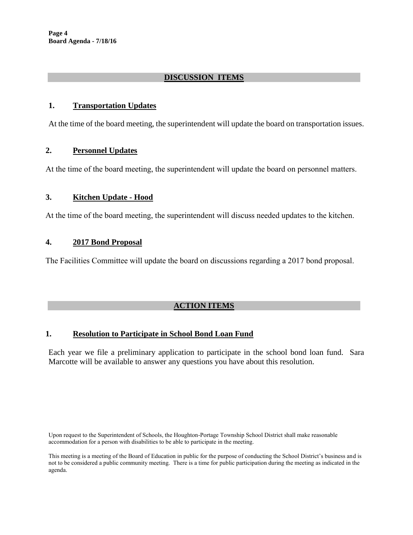**Page 4 Board Agenda - 7/18/16**

### **DISCUSSION ITEMS**

### **1. Transportation Updates**

At the time of the board meeting, the superintendent will update the board on transportation issues.

#### **2. Personnel Updates**

At the time of the board meeting, the superintendent will update the board on personnel matters.

### **3. Kitchen Update - Hood**

At the time of the board meeting, the superintendent will discuss needed updates to the kitchen.

### **4. 2017 Bond Proposal**

The Facilities Committee will update the board on discussions regarding a 2017 bond proposal.

### **ACTION ITEMS**

#### **1. Resolution to Participate in School Bond Loan Fund**

Each year we file a preliminary application to participate in the school bond loan fund. Sara Marcotte will be available to answer any questions you have about this resolution.

Upon request to the Superintendent of Schools, the Houghton-Portage Township School District shall make reasonable accommodation for a person with disabilities to be able to participate in the meeting.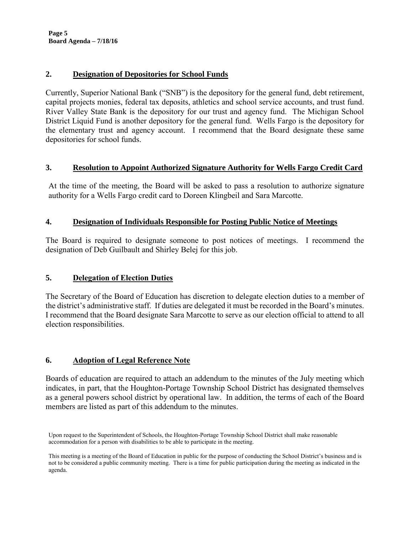**Page 5 Board Agenda – 7/18/16**

### **2. Designation of Depositories for School Funds**

Currently, Superior National Bank ("SNB") is the depository for the general fund, debt retirement, capital projects monies, federal tax deposits, athletics and school service accounts, and trust fund. River Valley State Bank is the depository for our trust and agency fund. The Michigan School District Liquid Fund is another depository for the general fund. Wells Fargo is the depository for the elementary trust and agency account. I recommend that the Board designate these same depositories for school funds.

### **3. Resolution to Appoint Authorized Signature Authority for Wells Fargo Credit Card**

At the time of the meeting, the Board will be asked to pass a resolution to authorize signature authority for a Wells Fargo credit card to Doreen Klingbeil and Sara Marcotte.

### **4. Designation of Individuals Responsible for Posting Public Notice of Meetings**

The Board is required to designate someone to post notices of meetings. I recommend the designation of Deb Guilbault and Shirley Belej for this job.

## **5. Delegation of Election Duties**

The Secretary of the Board of Education has discretion to delegate election duties to a member of the district's administrative staff. If duties are delegated it must be recorded in the Board's minutes. I recommend that the Board designate Sara Marcotte to serve as our election official to attend to all election responsibilities.

## **6. Adoption of Legal Reference Note**

Boards of education are required to attach an addendum to the minutes of the July meeting which indicates, in part, that the Houghton-Portage Township School District has designated themselves as a general powers school district by operational law. In addition, the terms of each of the Board members are listed as part of this addendum to the minutes.

Upon request to the Superintendent of Schools, the Houghton-Portage Township School District shall make reasonable accommodation for a person with disabilities to be able to participate in the meeting.

This meeting is a meeting of the Board of Education in public for the purpose of conducting the School District's business and is not to be considered a public community meeting. There is a time for public participation during the meeting as indicated in the agenda.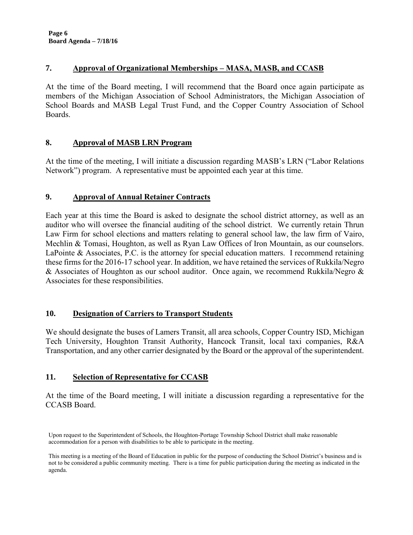### **7. Approval of Organizational Memberships – MASA, MASB, and CCASB**

At the time of the Board meeting, I will recommend that the Board once again participate as members of the Michigan Association of School Administrators, the Michigan Association of School Boards and MASB Legal Trust Fund, and the Copper Country Association of School Boards.

### **8. Approval of MASB LRN Program**

At the time of the meeting, I will initiate a discussion regarding MASB's LRN ("Labor Relations Network") program. A representative must be appointed each year at this time.

## **9. Approval of Annual Retainer Contracts**

Each year at this time the Board is asked to designate the school district attorney, as well as an auditor who will oversee the financial auditing of the school district. We currently retain Thrun Law Firm for school elections and matters relating to general school law, the law firm of Vairo, Mechlin & Tomasi, Houghton, as well as Ryan Law Offices of Iron Mountain, as our counselors. LaPointe & Associates, P.C. is the attorney for special education matters. I recommend retaining these firms for the 2016-17 school year. In addition, we have retained the services of Rukkila/Negro & Associates of Houghton as our school auditor. Once again, we recommend Rukkila/Negro & Associates for these responsibilities.

## **10. Designation of Carriers to Transport Students**

We should designate the buses of Lamers Transit, all area schools, Copper Country ISD, Michigan Tech University, Houghton Transit Authority, Hancock Transit, local taxi companies, R&A Transportation, and any other carrier designated by the Board or the approval of the superintendent.

## **11. Selection of Representative for CCASB**

At the time of the Board meeting, I will initiate a discussion regarding a representative for the CCASB Board.

Upon request to the Superintendent of Schools, the Houghton-Portage Township School District shall make reasonable accommodation for a person with disabilities to be able to participate in the meeting.

This meeting is a meeting of the Board of Education in public for the purpose of conducting the School District's business and is not to be considered a public community meeting. There is a time for public participation during the meeting as indicated in the agenda.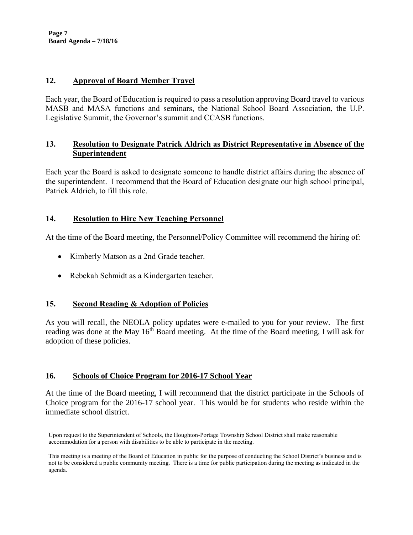**Page 7 Board Agenda – 7/18/16**

### **12. Approval of Board Member Travel**

Each year, the Board of Education is required to pass a resolution approving Board travel to various MASB and MASA functions and seminars, the National School Board Association, the U.P. Legislative Summit, the Governor's summit and CCASB functions.

### **13. Resolution to Designate Patrick Aldrich as District Representative in Absence of the Superintendent**

Each year the Board is asked to designate someone to handle district affairs during the absence of the superintendent. I recommend that the Board of Education designate our high school principal, Patrick Aldrich, to fill this role.

### **14. Resolution to Hire New Teaching Personnel**

At the time of the Board meeting, the Personnel/Policy Committee will recommend the hiring of:

- Kimberly Matson as a 2nd Grade teacher.
- Rebekah Schmidt as a Kindergarten teacher.

## **15. Second Reading & Adoption of Policies**

As you will recall, the NEOLA policy updates were e-mailed to you for your review. The first reading was done at the May  $16<sup>th</sup>$  Board meeting. At the time of the Board meeting, I will ask for adoption of these policies.

## **16. Schools of Choice Program for 2016-17 School Year**

At the time of the Board meeting, I will recommend that the district participate in the Schools of Choice program for the 2016-17 school year. This would be for students who reside within the immediate school district.

Upon request to the Superintendent of Schools, the Houghton-Portage Township School District shall make reasonable accommodation for a person with disabilities to be able to participate in the meeting.

This meeting is a meeting of the Board of Education in public for the purpose of conducting the School District's business and is not to be considered a public community meeting. There is a time for public participation during the meeting as indicated in the agenda.